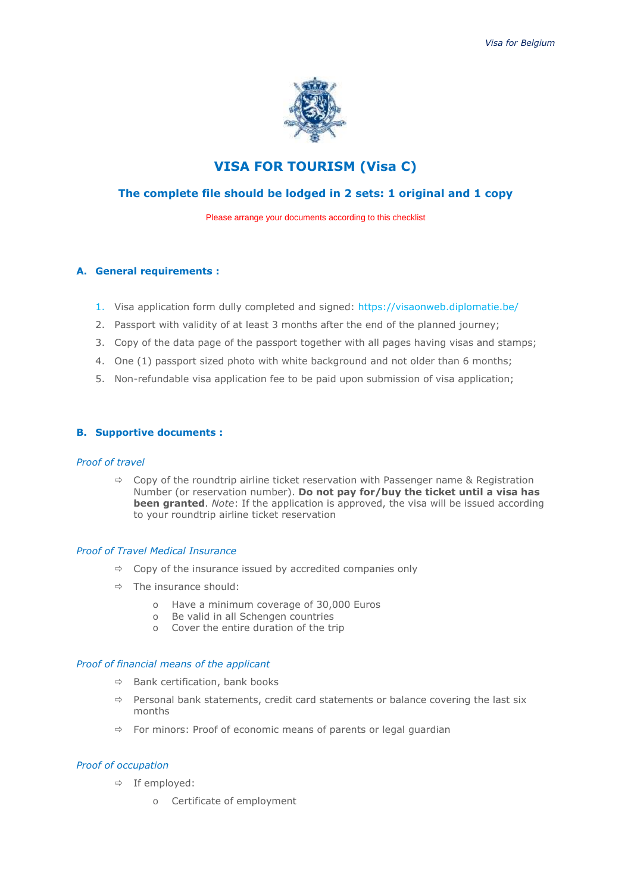

# **VISA FOR TOURISM (Visa C)**

# **The complete file should be lodged in 2 sets: 1 original and 1 copy**

Please arrange your documents according to this checklist

#### **A. General requirements :**

- 1. Visa application form dully completed and signed: https://visaonweb.diplomatie.be/
- 2. Passport with validity of at least 3 months after the end of the planned journey;
- 3. Copy of the data page of the passport together with all pages having visas and stamps;
- 4. One (1) passport sized photo with white background and not older than 6 months;
- 5. Non-refundable visa application fee to be paid upon submission of visa application;

#### **B. Supportive documents :**

#### *Proof of travel*

 $\Rightarrow$  Copy of the roundtrip airline ticket reservation with Passenger name & Registration Number (or reservation number). **Do not pay for/buy the ticket until a visa has been granted**. *Note*: If the application is approved, the visa will be issued according to your roundtrip airline ticket reservation

#### *Proof of Travel Medical Insurance*

- $\Rightarrow$  Copy of the insurance issued by accredited companies only
- $\Rightarrow$  The insurance should:
	- o Have a minimum coverage of 30,000 Euros
	- o Be valid in all Schengen countries
	- o Cover the entire duration of the trip

#### *Proof of financial means of the applicant*

- $\Rightarrow$  Bank certification, bank books
- $\Rightarrow$  Personal bank statements, credit card statements or balance covering the last six months
- $\Rightarrow$  For minors: Proof of economic means of parents or legal guardian

#### *Proof of occupation*

- $\Rightarrow$  If employed:
	- o Certificate of employment